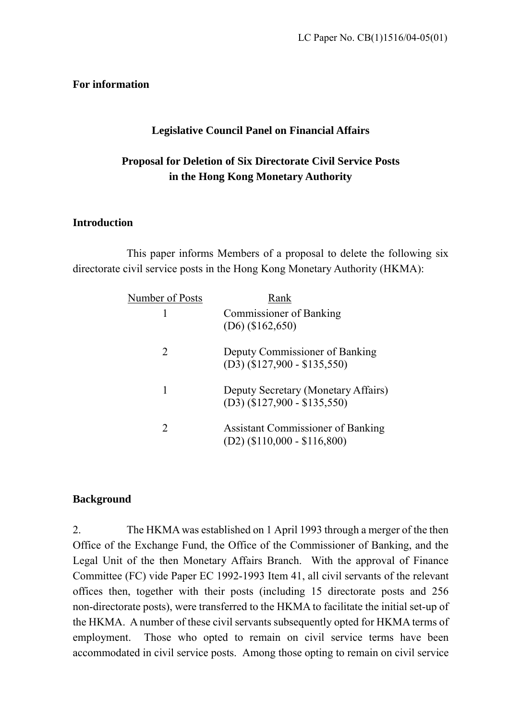#### **For information**

#### **Legislative Council Panel on Financial Affairs**

### **Proposal for Deletion of Six Directorate Civil Service Posts in the Hong Kong Monetary Authority**

#### **Introduction**

 This paper informs Members of a proposal to delete the following six directorate civil service posts in the Hong Kong Monetary Authority (HKMA):

| Number of Posts             | Rank                                                                       |
|-----------------------------|----------------------------------------------------------------------------|
| 1                           | <b>Commissioner of Banking</b><br>$(D6)$ (\$162,650)                       |
| 2                           | Deputy Commissioner of Banking<br>$(D3)$ (\$127,900 - \$135,550)           |
| 1                           | Deputy Secretary (Monetary Affairs)<br>$(D3)$ (\$127,900 - \$135,550)      |
| $\mathcal{D}_{\mathcal{L}}$ | <b>Assistant Commissioner of Banking</b><br>$(D2)$ (\$110,000 - \$116,800) |

#### **Background**

2. The HKMA was established on 1 April 1993 through a merger of the then Office of the Exchange Fund, the Office of the Commissioner of Banking, and the Legal Unit of the then Monetary Affairs Branch. With the approval of Finance Committee (FC) vide Paper EC 1992-1993 Item 41, all civil servants of the relevant offices then, together with their posts (including 15 directorate posts and 256 non-directorate posts), were transferred to the HKMA to facilitate the initial set-up of the HKMA. A number of these civil servants subsequently opted for HKMA terms of employment. Those who opted to remain on civil service terms have been accommodated in civil service posts. Among those opting to remain on civil service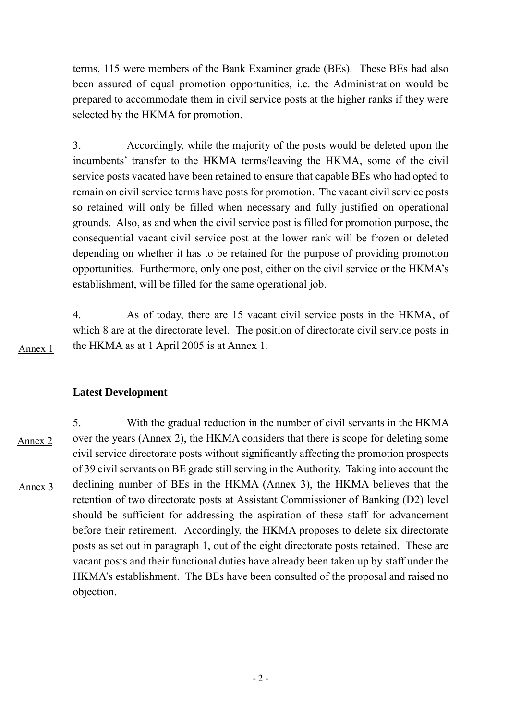terms, 115 were members of the Bank Examiner grade (BEs). These BEs had also been assured of equal promotion opportunities, i.e. the Administration would be prepared to accommodate them in civil service posts at the higher ranks if they were selected by the HKMA for promotion.

3. Accordingly, while the majority of the posts would be deleted upon the incumbents' transfer to the HKMA terms/leaving the HKMA, some of the civil service posts vacated have been retained to ensure that capable BEs who had opted to remain on civil service terms have posts for promotion. The vacant civil service posts so retained will only be filled when necessary and fully justified on operational grounds. Also, as and when the civil service post is filled for promotion purpose, the consequential vacant civil service post at the lower rank will be frozen or deleted depending on whether it has to be retained for the purpose of providing promotion opportunities. Furthermore, only one post, either on the civil service or the HKMA's establishment, will be filled for the same operational job.

4. As of today, there are 15 vacant civil service posts in the HKMA, of which 8 are at the directorate level. The position of directorate civil service posts in the HKMA as at 1 April 2005 is at Annex 1.

**Latest Development** 

Annex 1

5. With the gradual reduction in the number of civil servants in the HKMA over the years (Annex 2), the HKMA considers that there is scope for deleting some civil service directorate posts without significantly affecting the promotion prospects of 39 civil servants on BE grade still serving in the Authority. Taking into account the declining number of BEs in the HKMA (Annex 3), the HKMA believes that the retention of two directorate posts at Assistant Commissioner of Banking (D2) level should be sufficient for addressing the aspiration of these staff for advancement before their retirement. Accordingly, the HKMA proposes to delete six directorate posts as set out in paragraph 1, out of the eight directorate posts retained. These are vacant posts and their functional duties have already been taken up by staff under the HKMA's establishment. The BEs have been consulted of the proposal and raised no objection. Annex 2 Annex 3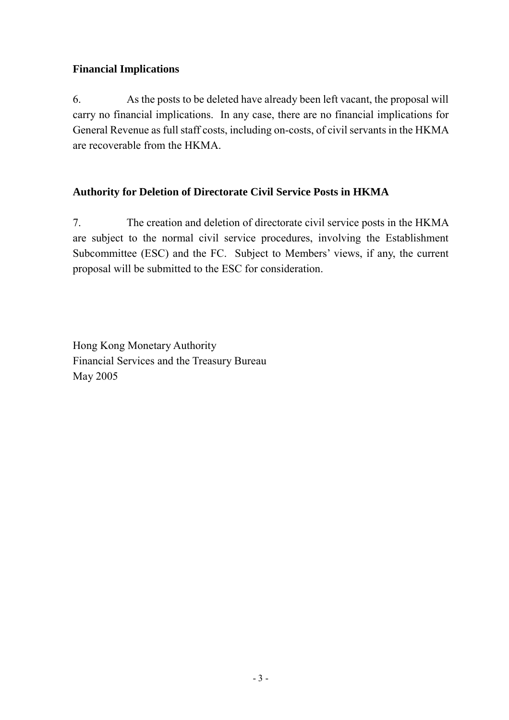### **Financial Implications**

6. As the posts to be deleted have already been left vacant, the proposal will carry no financial implications. In any case, there are no financial implications for General Revenue as full staff costs, including on-costs, of civil servants in the HKMA are recoverable from the HKMA.

### **Authority for Deletion of Directorate Civil Service Posts in HKMA**

7. The creation and deletion of directorate civil service posts in the HKMA are subject to the normal civil service procedures, involving the Establishment Subcommittee (ESC) and the FC. Subject to Members' views, if any, the current proposal will be submitted to the ESC for consideration.

Hong Kong Monetary Authority Financial Services and the Treasury Bureau May 2005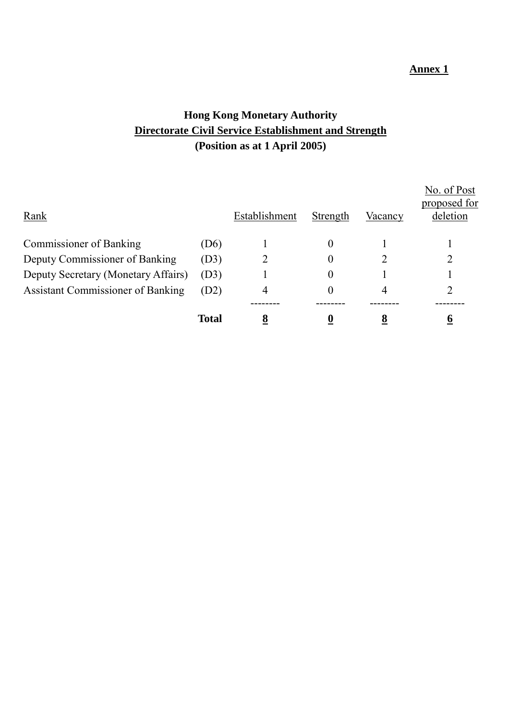#### **Annex 1**

## **Hong Kong Monetary Authority Directorate Civil Service Establishment and Strength (Position as at 1 April 2005)**

| Rank                                     |                   | Establishment | Strength  | Vacancy | No. of Post<br>proposed for<br>deletion |
|------------------------------------------|-------------------|---------------|-----------|---------|-----------------------------------------|
| <b>Commissioner of Banking</b>           | (D <sub>6</sub> ) |               | 0         |         |                                         |
| Deputy Commissioner of Banking           | (D3)              |               | 0         |         | 2                                       |
| Deputy Secretary (Monetary Affairs)      | (D3)              |               | $\pmb{0}$ |         |                                         |
| <b>Assistant Commissioner of Banking</b> | (D2)              | 4             | 0         | 4       |                                         |
|                                          |                   |               |           |         |                                         |
|                                          | <b>Total</b>      | 8             |           | O       | o                                       |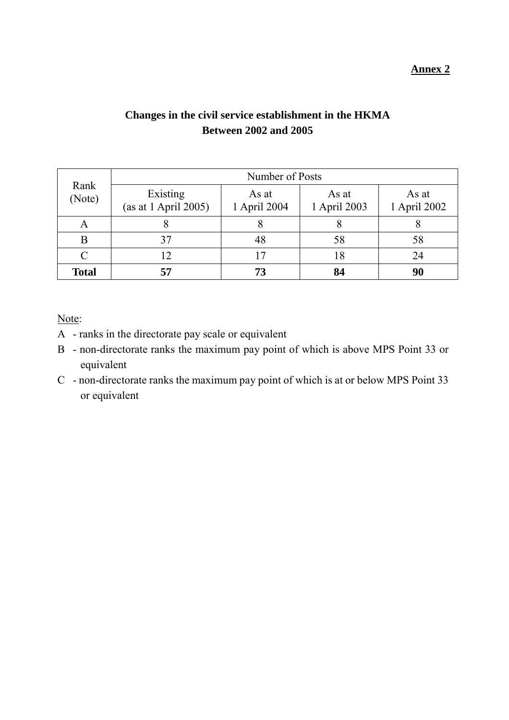### **Changes in the civil service establishment in the HKMA Between 2002 and 2005**

| Rank<br>(Note) | Number of Posts                  |                       |                       |                       |  |  |
|----------------|----------------------------------|-----------------------|-----------------------|-----------------------|--|--|
|                | Existing<br>(as at 1 April 2005) | As at<br>1 April 2004 | As at<br>1 April 2003 | As at<br>1 April 2002 |  |  |
| A              |                                  |                       |                       |                       |  |  |
| B              | 37                               | 48                    | 58                    | 58                    |  |  |
|                | 12                               |                       | 18                    | 24                    |  |  |
| <b>Total</b>   | 57                               | 73                    | 84                    | 90                    |  |  |

Note:

- A ranks in the directorate pay scale or equivalent
- B non-directorate ranks the maximum pay point of which is above MPS Point 33 or equivalent
- C non-directorate ranks the maximum pay point of which is at or below MPS Point 33 or equivalent